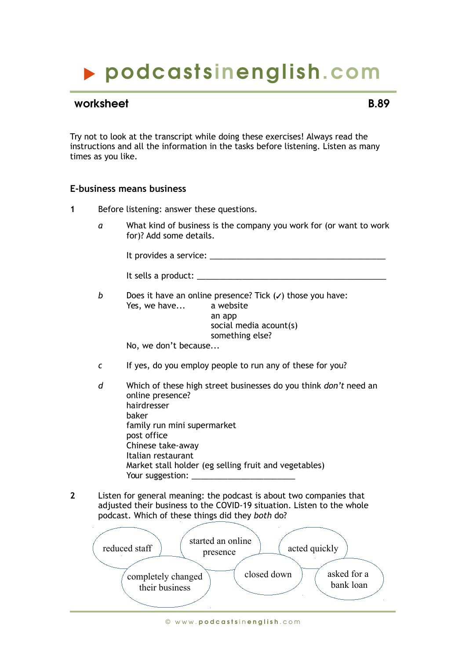# podcasts inenglish.com

### worksheet **B.89**

Try not to look at the transcript while doing these exercises! Always read the instructions and all the information in the tasks before listening. Listen as many times as you like.

#### **E-business means business**

- **1** Before listening: answer these questions.
	- *a* What kind of business is the company you work for (or want to work for)? Add some details.

It provides a service:  $\blacksquare$ 

It sells a product:  $\blacksquare$ 

*b* Does it have an online presence? Tick  $(v)$  those you have: Yes, we have... a website an app social media acount(s) something else?

No, we don't because...

- *c* If yes, do you employ people to run any of these for you?
- *d* Which of these high street businesses do you think *don't* need an online presence? hairdresser baker family run mini supermarket post office Chinese take-away Italian restaurant Market stall holder (eg selling fruit and vegetables) Your suggestion:
- **2** Listen for general meaning: the podcast is about two companies that adjusted their business to the COVID-19 situation. Listen to the whole podcast. Which of these things did they *both* do?

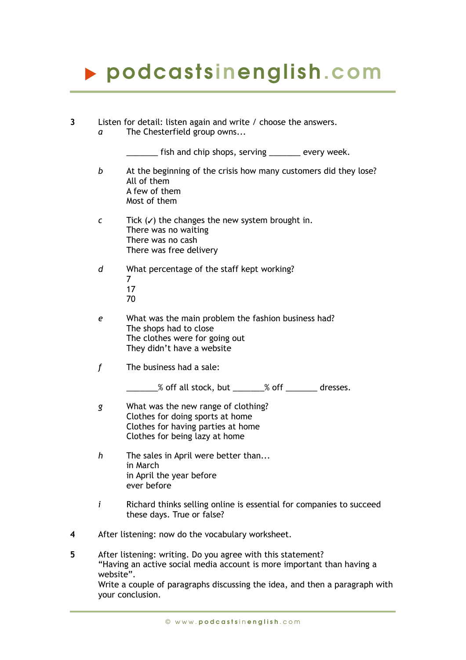# podcasts inenglish.com

| 3 | a                                                                                                                                                                                                                                                     | Listen for detail: listen again and write / choose the answers.<br>The Chesterfield group owns                                                  |
|---|-------------------------------------------------------------------------------------------------------------------------------------------------------------------------------------------------------------------------------------------------------|-------------------------------------------------------------------------------------------------------------------------------------------------|
|   |                                                                                                                                                                                                                                                       | ____ fish and chip shops, serving ________ every week.                                                                                          |
|   | b                                                                                                                                                                                                                                                     | At the beginning of the crisis how many customers did they lose?<br>All of them<br>A few of them<br>Most of them                                |
|   | $\epsilon$                                                                                                                                                                                                                                            | Tick $(v)$ the changes the new system brought in.<br>There was no waiting<br>There was no cash<br>There was free delivery                       |
|   | d                                                                                                                                                                                                                                                     | What percentage of the staff kept working?<br>$\overline{7}$<br>17<br>70                                                                        |
|   | e                                                                                                                                                                                                                                                     | What was the main problem the fashion business had?<br>The shops had to close<br>The clothes were for going out<br>They didn't have a website   |
|   | f                                                                                                                                                                                                                                                     | The business had a sale:                                                                                                                        |
|   |                                                                                                                                                                                                                                                       | _____% off all stock, but _______% off _______ dresses.                                                                                         |
|   | g                                                                                                                                                                                                                                                     | What was the new range of clothing?<br>Clothes for doing sports at home<br>Clothes for having parties at home<br>Clothes for being lazy at home |
|   | $\boldsymbol{h}$                                                                                                                                                                                                                                      | The sales in April were better than<br>in March<br>in April the year before<br>ever before                                                      |
|   | $\mathbf{i}$                                                                                                                                                                                                                                          | Richard thinks selling online is essential for companies to succeed<br>these days. True or false?                                               |
| 4 | After listening: now do the vocabulary worksheet.                                                                                                                                                                                                     |                                                                                                                                                 |
| 5 | After listening: writing. Do you agree with this statement?<br>"Having an active social media account is more important than having a<br>website".<br>Write a couple of paragraphs discussing the idea, and then a paragraph with<br>your conclusion. |                                                                                                                                                 |